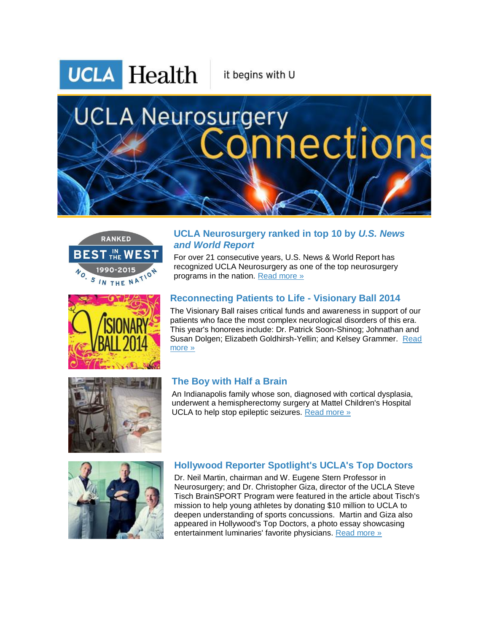**UCLA** Health

it begins with U

# **UCLA Neurosurgery** aections









An Indianapolis family whose son, diagnosed with cortical dysplasia, underwent a hemispherectomy surgery at Mattel Children's Hospital UCLA to help stop epileptic seizures. [Read more »](http://r20.rs6.net/tn.jsp?f=001QUQV1lawfPtbxQGtRLqE81obRoVhp1qc1I8AzjG8AVFb3uep2gN5Ren70igMKoP9mJanmvjS-8gjnXtOgp1GUVP4pVAxcemnz6hAx1XziSaWiVi35WH4BqXf0j-Je6DteC_bP_I84j6vqOqAAVBWfYgZ0WPs1kOafBEH-KWlnBFQQ3UCVJgkzXRUoNbt2ZAjh6IVPMF9y7O-OMJXxk8uybrzbXI3Wwazh-PgBkJjCzoAvWFag8JxsAkplDlYkFsj9vR6PbePZtAi3Ea_Dj0nDS--zsH88ni6X8gooOxi5e4rHbfwXD1Q5F9l9d-yvLe8-VZA0qBelBgAp3d-XfELxsIl_2ouoviSEgFJ6SwoU3kneECV8S1OJBjXL0RaWJCUcQ7W3v1EiFvQf0cRGLEMt65_IUygE0vW5ebdCmYTS2un8T6t6Fxqlg==&c=eRN8CYTCmsy6S5LRJ77hVBHMfnNpOPbsajtYbRReCtqhxvFiZvnJ9A==&ch=e5S7I-pH_-x-Av2iRQ7Bow4i2Su_Q5r0m8ZKmYnKM06q7bEiQL1oYA==) 



### **Hollywood Reporter Spotlight's UCLA's Top Doctors**

Dr. Neil Martin, chairman and W. Eugene Stern Professor in Neurosurgery; and Dr. Christopher Giza, director of the UCLA Steve Tisch BrainSPORT Program were featured in the article about Tisch's mission to help young athletes by donating \$10 million to UCLA to deepen understanding of sports concussions. Martin and Giza also appeared in Hollywood's Top Doctors, a photo essay showcasing entertainment luminaries' favorite physicians. [Read more »](http://r20.rs6.net/tn.jsp?f=001QUQV1lawfPtbxQGtRLqE81obRoVhp1qc1I8AzjG8AVFb3uep2gN5Ren70igMKoP9trQ4P4BaDZPpmrs6Sj47lDnjCUq5HoA3UA6rpmTC6k4zWa-z73jjomwmKc-86ffbxSap6Pn6UgdHekW569oEiFCUlk9w4NmpaOCFZ9dGcXB-StrpN8FMtxvUAOZ-y00bJ0TvbjNyyrEIUIo3H5-Xo7Xv1XtVBo1WwnMFwdHLgDbntxZIW6Hj6Txs1HBnqHmBky_Xhf2bL7bZm55NfffgP0AzbKDmKzi2-9rW6daFUC2iGlTW7wf9A5rrYShHbOu3ZnPVsV7od2_MWc8XXHBtlE6Hy9ExHN60343tsuIPwURce6qtDwprLzk3UGM1BAQfGXimHz5TH03IvxaU1SXBMkenbuthod5oPenGtVed-8o=&c=eRN8CYTCmsy6S5LRJ77hVBHMfnNpOPbsajtYbRReCtqhxvFiZvnJ9A==&ch=e5S7I-pH_-x-Av2iRQ7Bow4i2Su_Q5r0m8ZKmYnKM06q7bEiQL1oYA==)

#### **UCLA Neurosurgery ranked in top 10 by** *U.S. News and World Report*

For over 21 consecutive years, U.S. News & World Report has recognized UCLA Neurosurgery as one of the top neurosurgery programs in the nation. [Read more »](http://r20.rs6.net/tn.jsp?f=001QUQV1lawfPtbxQGtRLqE81obRoVhp1qc1I8AzjG8AVFb3uep2gN5Ren70igMKoP9mWWQo5oHPbAcG7iHqyrOemluF5dFoJVO88d_r4h5ns2qd7mNme-84rRKUcOnWW31WXp9YJDzbTSzlXp68ZB6i3DRa2lhJ7_6qW0uooq2n3VHxojBNFMRqIZm9x-PWKsk1p_to-Kl3zqkPoWf7dHHoYF6RoGzHLaECS8Z7E8gZbaElR22pcHoEQX16y66ThuOcQ23N3VxbSaQD18CqA4392xlfST5keSMVM-tETkwAUxibPcm___HF88EBe622F2nI7htEZZxA6VKkq62PG8JGo5gGxoR6r9JJQFvg-NxpYXA9wxMksDIjfqIABNCG1FT&c=eRN8CYTCmsy6S5LRJ77hVBHMfnNpOPbsajtYbRReCtqhxvFiZvnJ9A==&ch=e5S7I-pH_-x-Av2iRQ7Bow4i2Su_Q5r0m8ZKmYnKM06q7bEiQL1oYA==)

# **Reconnecting Patients to Life - Visionary Ball 2014**

The Visionary Ball raises critical funds and awareness in support of our patients who face the most complex neurological disorders of this era. This year's honorees include: Dr. Patrick Soon-Shinog; Johnathan and Susan Dolgen; Elizabeth Goldhirsh-Yellin; and Kelsey Grammer. [Read](http://r20.rs6.net/tn.jsp?f=001QUQV1lawfPtbxQGtRLqE81obRoVhp1qc1I8AzjG8AVFb3uep2gN5Ren70igMKoP9VnkLARrBnaYwzB04_AjpcPS9WYBMC-xBJVjC188W4KnyXZY8Y8ceqxpIt6aj3qraOfQpnsLU3-T_F-uRQ-_2FlfyYkW47bWV1HRnAyMc9NS5DxQvi230iObMSABUmUrewdJ1Ka9hTuUEf0dQi8VaUzKA8ktanNaaZAhx2cfDBIWnU9o8HBwGZt8Wl8IOeMrS_leaUPQE_qFh6cFZreJF4N4-w7i4akvASPaAk6qwS2PVNFYoQEhnXlOR7thyaUk7_7HFjVSBTnhQ998Ni1mS3xfy-5qtaISmjI5QaXBgPGlCWutoeid_0D8GVib3elDb8_pkASHYA55HbMh5Pnm1Qw==&c=eRN8CYTCmsy6S5LRJ77hVBHMfnNpOPbsajtYbRReCtqhxvFiZvnJ9A==&ch=e5S7I-pH_-x-Av2iRQ7Bow4i2Su_Q5r0m8ZKmYnKM06q7bEiQL1oYA==)  [more »](http://r20.rs6.net/tn.jsp?f=001QUQV1lawfPtbxQGtRLqE81obRoVhp1qc1I8AzjG8AVFb3uep2gN5Ren70igMKoP9VnkLARrBnaYwzB04_AjpcPS9WYBMC-xBJVjC188W4KnyXZY8Y8ceqxpIt6aj3qraOfQpnsLU3-T_F-uRQ-_2FlfyYkW47bWV1HRnAyMc9NS5DxQvi230iObMSABUmUrewdJ1Ka9hTuUEf0dQi8VaUzKA8ktanNaaZAhx2cfDBIWnU9o8HBwGZt8Wl8IOeMrS_leaUPQE_qFh6cFZreJF4N4-w7i4akvASPaAk6qwS2PVNFYoQEhnXlOR7thyaUk7_7HFjVSBTnhQ998Ni1mS3xfy-5qtaISmjI5QaXBgPGlCWutoeid_0D8GVib3elDb8_pkASHYA55HbMh5Pnm1Qw==&c=eRN8CYTCmsy6S5LRJ77hVBHMfnNpOPbsajtYbRReCtqhxvFiZvnJ9A==&ch=e5S7I-pH_-x-Av2iRQ7Bow4i2Su_Q5r0m8ZKmYnKM06q7bEiQL1oYA==)